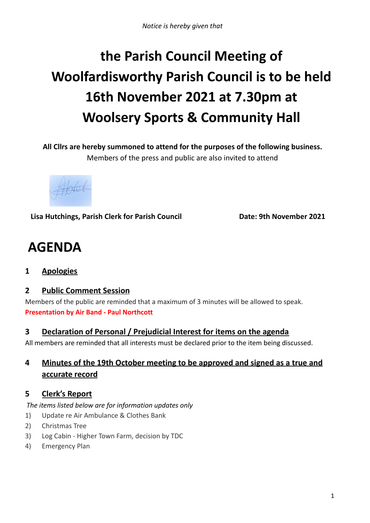# **the Parish Council Meeting of Woolfardisworthy Parish Council is to be held 16th November 2021 at 7.30pm at Woolsery Sports & Community Hall**

**All Cllrs are hereby summoned to attend for the purposes of the following business.**

Members of the press and public are also invited to attend

**Lisa Hutchings, Parish Clerk for Parish Council Date: 9th November 2021**

## **AGENDA**

**1 Apologies**

## **2 Public Comment Session**

Members of the public are reminded that a maximum of 3 minutes will be allowed to speak. **Presentation by Air Band - Paul Northcott**

## **3 Declaration of Personal / Prejudicial Interest for items on the agenda**

All members are reminded that all interests must be declared prior to the item being discussed.

## **4 Minutes of the 19th October meeting to be approved and signed as a true and accurate record**

## **5 Clerk's Report**

*The items listed below are for information updates only*

- 1) Update re Air Ambulance & Clothes Bank
- 2) Christmas Tree
- 3) Log Cabin Higher Town Farm, decision by TDC
- 4) Emergency Plan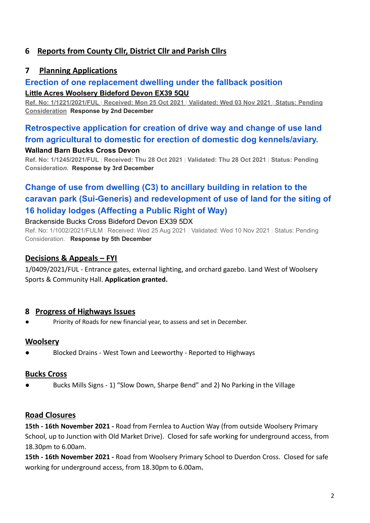## **6 Reports from County Cllr, District Cllr and Parish Cllrs**

## **7 Planning Applications**

## **[Erection of one replacement dwelling under the fallback position](https://publicaccess.torridge.gov.uk/online-applications/applicationDetails.do?activeTab=summary&keyVal=R1IRF6QKHM300&prevPage=inTray)**

#### **Little Acres Woolsery Bideford Devon EX39 5QU**

Ref. No: 1/1221/2021/FUL | Received: Mon 25 Oct 2021 | Validated: Wed 03 Nov 2021 | Status: Pending **Consideration Response by 2nd December**

## **[Retrospective application for creation of drive way and change of use land](https://publicaccess.torridge.gov.uk/online-applications/applicationDetails.do?activeTab=summary&keyVal=R1QL5ZQK0BO00&prevPage=inTray) [from agricultural to domestic for erection of domestic dog kennels/aviary.](https://publicaccess.torridge.gov.uk/online-applications/applicationDetails.do?activeTab=summary&keyVal=R1QL5ZQK0BO00&prevPage=inTray)**

#### **Walland Barn Bucks Cross Devon**

Ref. No: 1/1245/2021/FUL | Received: Thu 28 Oct 2021 | Validated: Thu 28 Oct 2021 | Status: Pending **Consideratio***n.* **Response by 3rd December**

## **[Change of use from dwelling \(C3\) to ancillary building in relation to the](https://publicaccess.torridge.gov.uk/online-applications/applicationDetails.do?activeTab=summary&keyVal=QYEHY7QKGSA00&prevPage=inTray) [caravan park \(Sui-Generis\) and redevelopment of use of land for the siting of](https://publicaccess.torridge.gov.uk/online-applications/applicationDetails.do?activeTab=summary&keyVal=QYEHY7QKGSA00&prevPage=inTray) [16 holiday lodges \(Affecting a Public Right of Way\)](https://publicaccess.torridge.gov.uk/online-applications/applicationDetails.do?activeTab=summary&keyVal=QYEHY7QKGSA00&prevPage=inTray)**

#### Brackenside Bucks Cross Bideford Devon EX39 5DX

Ref. No: 1/1002/2021/FULM | Received: Wed 25 Aug 2021 | Validated: Wed 10 Nov 2021 | Status: Pending Consideration. **Response by 5th December**

## **Decisions & Appeals – FYI**

1/0409/2021/FUL - Entrance gates, external lighting, and orchard gazebo. Land West of Woolsery Sports & Community Hall. **Application granted.**

#### **8 Progress of Highways Issues**

Priority of Roads for new financial year, to assess and set in December.

#### **Woolsery**

Blocked Drains - West Town and Leeworthy - Reported to Highways

#### **Bucks Cross**

Bucks Mills Signs - 1) "Slow Down, Sharpe Bend" and 2) No Parking in the Village

#### **Road Closures**

**15th - 16th November 2021 -** Road from Fernlea to Auction Way (from outside Woolsery Primary School, up to Junction with Old Market Drive). Closed for safe working for underground access, from 18.30pm to 6.00am.

**15th - 16th November 2021 -** Road from Woolsery Primary School to Duerdon Cross. Closed for safe working for underground access, from 18.30pm to 6.00am**.**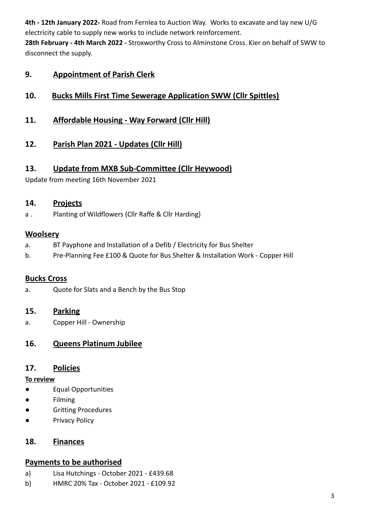**4th - 12th January 2022-** Road from Fernlea to Auction Way. Works to excavate and lay new U/G electricity cable to supply new works to include network reinforcement.

**28th February - 4th March 2022 -** Stroxworthy Cross to Alminstone Cross. Kier on behalf of SWW to disconnect the supply.

## **9. Appointment of Parish Clerk**

## **10. Bucks Mills First Time Sewerage Application SWW (Cllr Spittles)**

- **11. Affordable Housing - Way Forward (Cllr Hill)**
- **12. Parish Plan 2021 - Updates (Cllr Hill)**

## **13. Update from MXB Sub-Committee (Cllr Heywood)**

Update from meeting 16th November 2021

## **14. Projects**

a . Planting of Wildflowers (Cllr Raffe & Cllr Harding)

## **Woolsery**

- a. BT Payphone and Installation of a Defib / Electricity for Bus Shelter
- b. Pre-Planning Fee £100 & Quote for Bus Shelter & Installation Work Copper Hill

## **Bucks Cross**

a. Quote for Slats and a Bench by the Bus Stop

## **15. Parking**

a. Copper Hill - Ownership

## **16. Queens Platinum Jubilee**

## **17. Policies**

#### **To review**

- Equal Opportunities
- Filming
- Gritting Procedures
- Privacy Policy

## **18. Finances**

#### **Payments to be authorised**

- a) Lisa Hutchings October 2021 £439.68
- b) HMRC 20% Tax October 2021 £109.92